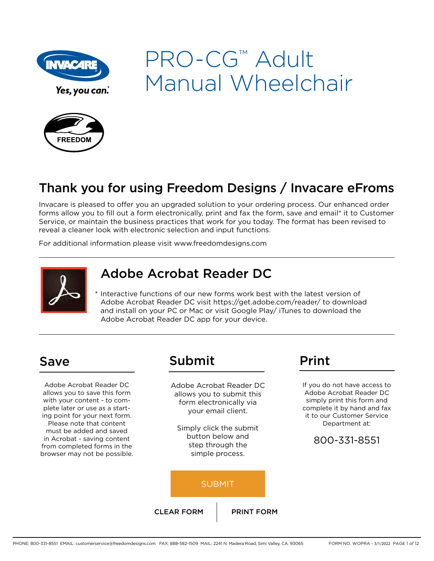

# PRO-CG™ Adult Manual Wheelchair



## Thank you for using Freedom Designs / Invacare eFroms

Invacare is pleased to offer you an upgraded solution to your ordering process. Our enhanced order forms allow you to fill out a form electronically, print and fax the form, save and email\* it to Customer Service, or maintain the business practices that work for you today. The format has been revised to reveal a cleaner look with electronic selection and input functions.

For additional information please visit www.freedomdesigns.com



## Adobe Acrobat Reader DC

\* Interactive functions of our new forms work best with the latest version of Adobe Acrobat Reader DC visit https://get.adobe.com/reader/ to download and install on your PC or Mac or visit Google Play/ iTunes to download the Adobe Acrobat Reader DC app for your device.

Adobe Acrobat Reader DC allows you to save this form with your content - to complete later or use as a starting point for your next form. Please note that content must be added and saved in Acrobat - saving content from completed forms in the browser may not be possible.

## Save Submit Print

Adobe Acrobat Reader DC allows you to submit this form electronically via your email client.

Simply click the submit button below and step through the simple process.

#### SUBMIT

CLEAR FORM FRINT FORM

If you do not have access to Adobe Acrobat Reader DC simply print this form and complete it by hand and fax it to our Customer Service Department at:

#### 800-331-8551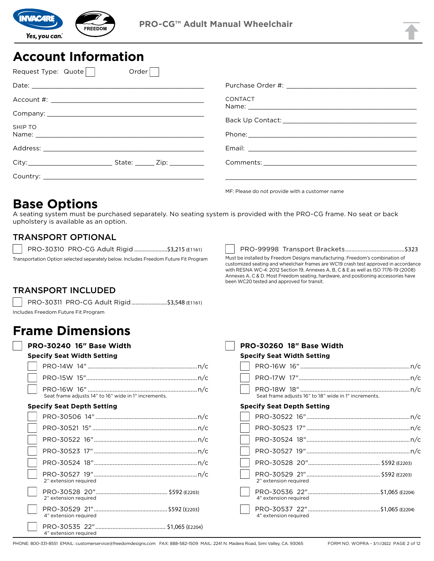

## **Account Information**

| Request Type: Quote | Order |                                                |
|---------------------|-------|------------------------------------------------|
|                     |       |                                                |
|                     |       | <b>CONTACT</b>                                 |
|                     |       |                                                |
| SHIP TO             |       |                                                |
|                     |       |                                                |
|                     |       |                                                |
|                     |       |                                                |
|                     |       |                                                |
|                     |       | ME: Please do not provide with a customer name |

## **Base Options**

A seating system must be purchased separately. No seating system is provided with the PRO-CG frame. No seat or back upholstery is available as an option.

#### TRANSPORT OPTIONAL

PRO-30310 PRO-CG Adult Rigid .......................\$3,215 (E1161)

Transportation Option selected separately below. Includes Freedom Future Fit Program

PRO-99998 Transport Brackets......................................\$323 Must be installed by Freedom Designs manufacturing. Freedom's combination of customized seating and wheelchair frames are WC19 crash test approved in accordance with RESNA WC-4: 2012 Section 19, Annexes A, B, C & E as well as ISO 7176-19 (2008) Annexes A, C & D. Most Freedom seating, hardware, and positioning accessories have

been WC20 tested and approved for transit.

## TRANSPORT INCLUDED

PRO-30311 PRO-CG Adult Rigid.........................\$3,548 (E1161) Includes Freedom Future Fit Program

## **Frame Dimensions**

| <b>PRO-30240 16" Base Width</b>                      |
|------------------------------------------------------|
| <b>Specify Seat Width Setting</b>                    |
|                                                      |
|                                                      |
| Seat frame adjusts 14" to 16" wide in 1" increments. |
| <b>Specify Seat Depth Setting</b>                    |
|                                                      |
|                                                      |
|                                                      |
|                                                      |
|                                                      |
| 2" extension required                                |
| 2" extension required                                |
| 4" extension required                                |
| 4" extension required                                |

| <b>PRO-30260 18″ Base Width</b>                      |
|------------------------------------------------------|
| <b>Specify Seat Width Setting</b>                    |
|                                                      |
|                                                      |
| Seat frame adjusts 16" to 18" wide in 1" increments. |
| <b>Specify Seat Depth Setting</b>                    |
|                                                      |
|                                                      |
|                                                      |
|                                                      |
|                                                      |
| 2" extension required                                |
| 4" extension required                                |
| 4" extension required                                |
|                                                      |

PHONE: 800-331-8551 EMAIL: customerservice@freedomdesigns.com FAX: 888-582-1509 MAIL: 2241 N. Madera Road, Simi Valley, CA. 93065 FORM NO. WOPRA - 3/1//2022 PAGE 2 of 12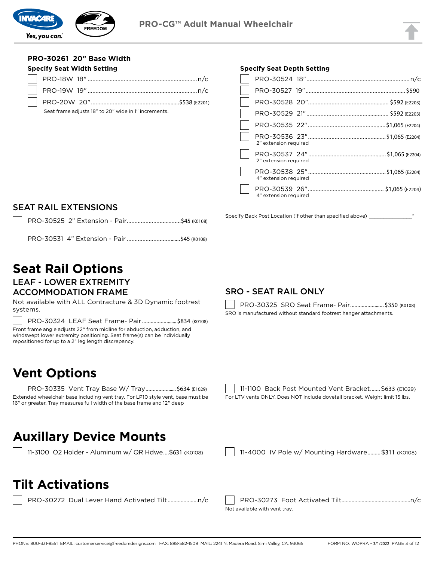

#### **PRO-30261 20" Base Width**

| <b>Specify Seat Width Setting</b>                    |  |  |  |
|------------------------------------------------------|--|--|--|
|                                                      |  |  |  |
|                                                      |  |  |  |
|                                                      |  |  |  |
| Seat frame adjusts 18" to 20" wide in 1" increments. |  |  |  |

#### **Specify Seat Depth Setting**

| 2" extension required |  |
|-----------------------|--|
| 2" extension required |  |
| 4" extension required |  |
| 4" extension required |  |

SEAT RAIL EXTENSIONS

PRO-30531 4" Extension - Pair ...................................\$45 (K0108)

# **Seat Rail Options**

LEAF - LOWER EXTREMITY ACCOMMODATION FRAME

Not available with ALL Contracture & 3D Dynamic footrest systems.

PRO-30324 LEAF Seat Frame- Pair ......................... \$834 (K0108)

Front frame angle adjusts 22° from midline for abduction, adduction, and windswept lower extremity positioning. Seat frame(s) can be individually repositioned for up to a 2" leg length discrepancy.

## **Vent Options**

PRO-30335 Vent Tray Base W/ Tray ....................... \$634 (E1029) Extended wheelchair base including vent tray. For LP10 style vent, base must be 16" or greater. Tray measures full width of the base frame and 12" deep

#### SRO - SEAT RAIL ONLY

Specify Back Post Location (if other than specified above) \_

PRO-30325 SRO Seat Frame- Pair.......................... \$350 (K0108) SRO is manufactured without standard footrest hanger attachments.

11-1100 Back Post Mounted Vent Bracket....... \$633 (E1029) For LTV vents ONLY. Does NOT include dovetail bracket. Weight limit 15 lbs.

## **Auxillary Device Mounts**

11-3100 O2 Holder - Aluminum w/ QR Hdwe....\$631 (K0108) | | 11-4000 IV Pole w/ Mounting Hardware .........\$311 (K0108)

|  | $11.4000 \text{ N/Dolo}$ $\mu/\text{Mountino}$ Hardware $5211$ (10100) |  |
|--|------------------------------------------------------------------------|--|

## **Tilt Activations**

PRO-30272 Dual Lever Hand Activated Tilt .....................n/c PRO-30273 Foot Activated Tilt................................................n/c Not available with vent tray.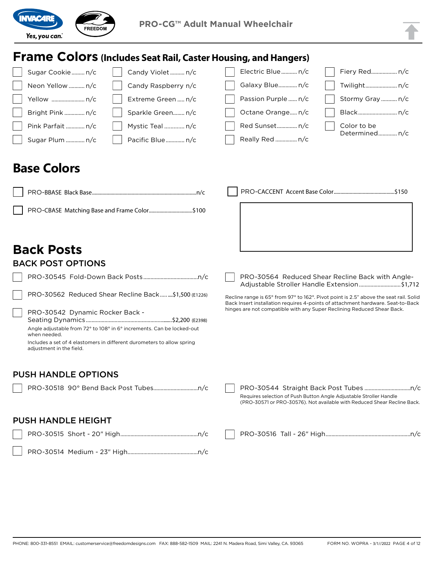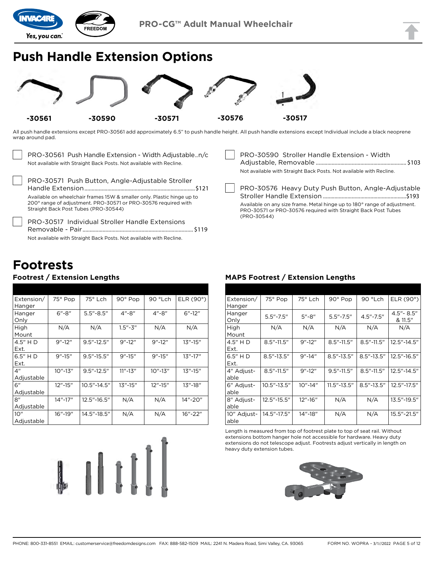

## **Push Handle Extension Options**



All push handle extensions except PRO-30561 add approximately 6.5" to push handle height. All push handle extensions except Individual include a black neoprene wrap around pad.

| PRO-30561 Push Handle Extension - Width Adjustablen/c               |
|---------------------------------------------------------------------|
| Not available with Straight Back Posts. Not available with Recline. |
|                                                                     |
| PRO-30571 Push Button, Angle-Adjustable Stroller                    |
|                                                                     |

Handle Extension.............................................................................\$121 Available on wheelchair frames 15W & smaller only. Plastic hinge up to 200° range of adjustment. PRO-30571 or PRO-30576 required with Straight Back Post Tubes (PRO-30544)

PRO-30517 Individual Stroller Handle Extensions Removable - Pair ............................................................................. \$119 Not available with Straight Back Posts. Not available with Recline.

## **Footrests**

#### **Footrest / Extension Lengths**

| Extension/      | 75° Pop     | 75° Lch         | 90° Pop      | 90 °Lch     | ELR $(90^\circ)$ |
|-----------------|-------------|-----------------|--------------|-------------|------------------|
| Hanger          |             |                 |              |             |                  |
| Hanger          | $6" - 8"$   | $5.5 - 8.5$     | $4" - 8"$    | $4" - 8"$   | $6" - 12"$       |
| Only            |             |                 |              |             |                  |
| High            | N/A         | N/A             | $1.5 - 3$    | N/A         | N/A              |
| Mount           |             |                 |              |             |                  |
| 4.5" H D        | $9" - 12"$  | $9.5" - 12.5"$  | $9'' - 12''$ | $9" - 12"$  | $13" - 15"$      |
| Ext.            |             |                 |              |             |                  |
| $6.5"$ HD       | $9" - 15"$  | $9.5" - 15.5"$  | $9" - 15"$   | $9" - 15"$  | $13" - 17"$      |
| Ext.            |             |                 |              |             |                  |
| 4 <sup>''</sup> | $10" - 13"$ | $9.5" - 12.5"$  | $11" - 13"$  | $10" - 13"$ | $13" - 15"$      |
| Adjustable      |             |                 |              |             |                  |
| 6"              | $12" - 15"$ | $10.5" - 14.5"$ | $13" - 15"$  | $12" - 15"$ | $13" - 18"$      |
| Adjustable      |             |                 |              |             |                  |
| 8"              | $14" - 17"$ | 12.5"-16.5"     | N/A          | N/A         | 14"-20"          |
| Adjustable      |             |                 |              |             |                  |
| 10"             | $16" - 19"$ | 14.5"-18.5"     | N/A          | N/A         | 16"-22"          |
| Adjustable      |             |                 |              |             |                  |

# 

PRO-30590 Stroller Handle Extension - Width Adjustable, Removable ............................................................... \$103 Not available with Straight Back Posts. Not available with Recline. PRO-30576 Heavy Duty Push Button, Angle-Adjustable Stroller Handle Extension ..........................................................\$193 Available on any size frame. Metal hinge up to 180° range of adjustment. PRO-30571 or PRO-30576 required with Straight Back Post Tubes (PRO-30544)

#### **MAPS Footrest / Extension Lengths**

| Extension/<br>Hanger | 75° Pop         | 75° Lch     | 90° Pop         | 90 °Lch        | ELR $(90^\circ)$       |
|----------------------|-----------------|-------------|-----------------|----------------|------------------------|
| Hanger<br>Only       | $5.5" - 7.5"$   | $5'' - 8''$ | $5.5" - 7.5"$   | $4.5" - 7.5"$  | 4.5" - 8.5"<br>& 11.5" |
| High<br>Mount        | N/A             | N/A         | N/A             | N/A            | N/A                    |
| 4.5″ H D<br>Ext.     | $8.5" - 11.5"$  | $9" - 12"$  | $8.5" - 11.5"$  | $8.5" - 11.5"$ | 12.5"-14.5"            |
| 6.5" H D<br>Ext.     | $8.5" - 13.5"$  | $9" - 14"$  | $8.5" - 13.5"$  | $8.5" - 13.5"$ | 12.5"-16.5"            |
| 4" Adjust-<br>able   | $8.5" - 11.5"$  | $9" - 12"$  | $9.5" - 11.5"$  | $8.5" - 11.5"$ | 12.5"-14.5"            |
| 6" Adjust-<br>able   | $10.5" - 13.5"$ | $10" - 14"$ | $11.5" - 13.5"$ | $8.5" - 13.5"$ | 12.5"-17.5"            |
| 8" Adjust-<br>able   | 12.5"-15.5"     | 12"-16"     | N/A             | N/A            | 13.5"-19.5"            |
| 10" Adjust-<br>able  | 14.5"-17.5"     | 14"-18"     | N/A             | N/A            | 15.5"-21.5"            |

Length is measured from top of footrest plate to top of seat rail. Without extensions bottom hanger hole not accessible for hardware. Heavy duty extensions do not telescope adjust. Footrests adjust vertically in length on heavy duty extension tubes.

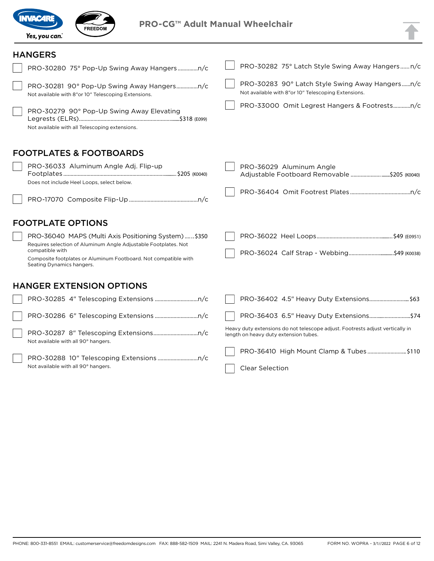



#### **HANGERS**

|                                                                                                                                                                                                                                            | PRO-30282 75° Latch Style Swing Away Hangers n/c                                                                       |
|--------------------------------------------------------------------------------------------------------------------------------------------------------------------------------------------------------------------------------------------|------------------------------------------------------------------------------------------------------------------------|
| Not available with 8"or 10" Telescoping Extensions.                                                                                                                                                                                        | PRO-30283 90° Latch Style Swing Away Hangersn/c<br>Not available with 8"or 10" Telescoping Extensions.                 |
| PRO-30279 90° Pop-Up Swing Away Elevating<br>Not available with all Telescoping extensions.                                                                                                                                                | PRO-33000 Omit Legrest Hangers & Footrestsn/c                                                                          |
| <b>FOOTPLATES &amp; FOOTBOARDS</b>                                                                                                                                                                                                         |                                                                                                                        |
| PRO-36033 Aluminum Angle Adj. Flip-up<br>Does not include Heel Loops, select below.                                                                                                                                                        | PRO-36029 Aluminum Angle<br>Adjustable Footboard Removable \$205 (K0040)                                               |
|                                                                                                                                                                                                                                            |                                                                                                                        |
| <b>FOOTPLATE OPTIONS</b>                                                                                                                                                                                                                   |                                                                                                                        |
| PRO-36040 MAPS (Multi Axis Positioning System) \$350<br>Requires selection of Aluminum Angle Adjustable Footplates. Not<br>compatible with<br>Composite footplates or Aluminum Footboard. Not compatible with<br>Seating Dynamics hangers. | PRO-36024 Calf Strap - Webbing\$49 (K0038)                                                                             |
| <b>HANGER EXTENSION OPTIONS</b>                                                                                                                                                                                                            |                                                                                                                        |
|                                                                                                                                                                                                                                            | PRO-36402 4.5" Heavy Duty Extensions \$63                                                                              |
|                                                                                                                                                                                                                                            | PRO-36403 6.5" Heavy Duty Extensions\$74                                                                               |
| Not available with all 90° hangers.                                                                                                                                                                                                        | Heavy duty extensions do not telescope adjust. Footrests adjust vertically in<br>length on heavy duty extension tubes. |
| Not available with all 90° hangers.                                                                                                                                                                                                        | PRO-36410 High Mount Clamp & Tubes \$110<br><b>Clear Selection</b>                                                     |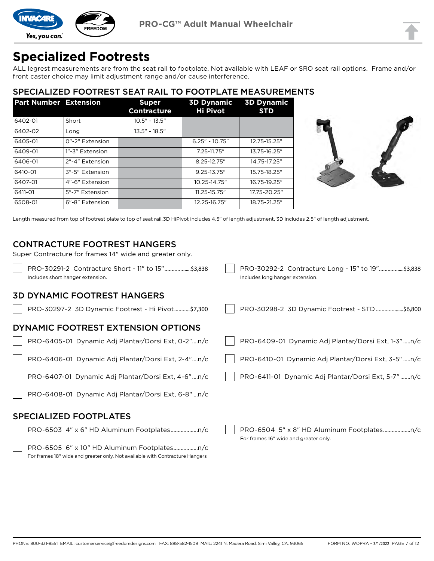

# **Specialized Footrests**

ALL legrest measurements are from the seat rail to footplate. Not available with LEAF or SRO seat rail options. Frame and/or front caster choice may limit adjustment range and/or cause interference.

## SPECIALIZED FOOTREST SEAT RAIL TO FOOTPLATE MEASUREMENTS

| <b>Part Number Extension</b> |                 | <b>Super</b><br><b>Contracture</b> | <b>3D Dynamic</b><br><b>Hi Pivot</b> | <b>3D Dynamic</b><br><b>STD</b> |
|------------------------------|-----------------|------------------------------------|--------------------------------------|---------------------------------|
| 6402-01                      | Short           | $10.5" - 13.5"$                    |                                      |                                 |
| 6402-02                      | Long            | $13.5" - 18.5"$                    |                                      |                                 |
| 6405-01                      | 0"-2" Extension |                                    | $6.25" - 10.75"$                     | 12.75-15.25"                    |
| 6409-01                      | 1"-3" Extension |                                    | 7.25-11.75"                          | 13.75-16.25"                    |
| 6406-01                      | 2"-4" Extension |                                    | 8.25-12.75"                          | 14.75-17.25"                    |
| 6410-01                      | 3"-5" Extension |                                    | $9.25 - 13.75$ "                     | 15.75-18.25"                    |
| 6407-01                      | 4"-6" Extension |                                    | 10.25-14.75"                         | 16.75-19.25"                    |
| 6411-01                      | 5"-7" Extension |                                    | 11.25-15.75"                         | 17.75-20.25"                    |
| 6508-01                      | 6"-8" Extension |                                    | 12.25-16.75"                         | 18.75-21.25"                    |



Length measured from top of footrest plate to top of seat rail.3D HiPivot includes 4.5" of length adjustment, 3D includes 2.5" of length adjustment.

#### CONTRACTURE FOOTREST HANGERS

Super Contracture for frames 14" wide and greater only.

PRO-30291-2 Contracture Short - 11" to 15" ...................\$3,838 Includes short hanger extension. PRO-30292-2 Contracture Long - 15" to 19" ..................\$3,838 Includes long hanger extension.

#### 3D DYNAMIC FOOTREST HANGERS

PRO-30297-2 3D Dynamic Footrest - Hi Pivot ...........\$7,300 PRO-30298-2 3D Dynamic Footrest - STD ....................\$6,800

PRO-6505 6" x 10" HD Aluminum Footplates.................n/c For frames 18" wide and greater only. Not available with Contracture Hangers

#### DYNAMIC FOOTREST EXTENSION OPTIONS

| PRO-6405-01 Dynamic Adj Plantar/Dorsi Ext, 0-2"n/c  | PRO-6409-01 Dynamic Adj Plantar/Dorsi Ext, 1-3"n/c  |
|-----------------------------------------------------|-----------------------------------------------------|
| PRO-6406-01 Dynamic Adj Plantar/Dorsi Ext, 2-4"n/c  | PRO-6410-01 Dynamic Adj Plantar/Dorsi Ext, 3-5" n/c |
| PRO-6407-01 Dynamic Adj Plantar/Dorsi Ext, 4-6"n/c  | PRO-6411-01 Dynamic Adj Plantar/Dorsi Ext, 5-7"n/c  |
| PRO-6408-01 Dynamic Adj Plantar/Dorsi Ext, 6-8" n/c |                                                     |
| <b>SPECIALIZED FOOTPLATES</b>                       |                                                     |
|                                                     | For frames 16" wide and greater only.               |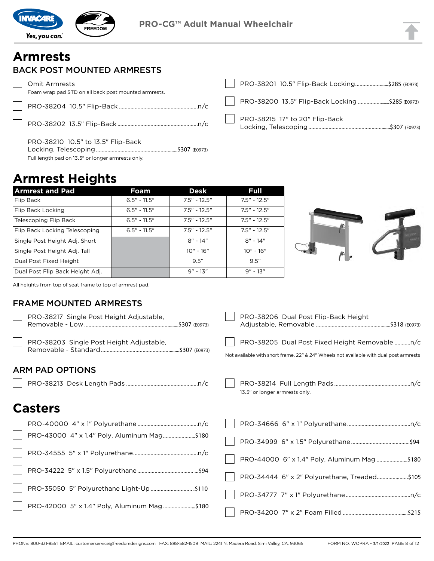

## **Armrests**

## BACK POST MOUNTED ARMRESTS

Omit Armrests Foam wrap pad STD on all back post mounted armrests. PRO-38204 10.5" Flip-Back .......................................................n/c

PRO-38202 13.5" Flip-Back ........................................................n/c

PRO-38210 10.5" to 13.5" Flip-Back Locking, Telescoping..........................................................\$307 (E0973) Full length pad on 13.5" or longer armrests only.

| PRO-38200 13.5" Flip-Back Locking \$285 (E0973) |  |
|-------------------------------------------------|--|
| PRO-38215 17" to 20" Flip-Back                  |  |

## **Armrest Heights**

| <b>Armrest and Pad</b>          | <b>Foam</b>    | <b>Desk</b>    | <b>Full</b>    |  |
|---------------------------------|----------------|----------------|----------------|--|
| Flip Back                       | $6.5" - 11.5"$ | $7.5" - 12.5"$ | $7.5" - 12.5"$ |  |
| Flip Back Locking               | $6.5" - 11.5"$ | $7.5" - 12.5"$ | $7.5" - 12.5"$ |  |
| Telescoping Flip Back           | $6.5" - 11.5"$ | $7.5" - 12.5"$ | $7.5" - 12.5"$ |  |
| Flip Back Locking Telescoping   | $6.5" - 11.5"$ | $7.5" - 12.5"$ | $7.5" - 12.5"$ |  |
| Single Post Height Adj. Short   |                | $8" - 14"$     | $8" - 14"$     |  |
| Single Post Height Adj. Tall    |                | $10'' - 16''$  | $10'' - 16''$  |  |
| Dual Post Fixed Height          |                | 9.5"           | 9.5"           |  |
| Dual Post Flip Back Height Adj. |                | $9'' - 13''$   | $9'' - 13''$   |  |



All heights from top of seat frame to top of armrest pad.

#### FRAME MOUNTED ARMRESTS

| PRO-38217 Single Post Height Adjustable,    | PRO-38206 Dual Post Flip-Back Height                                                                                                     |
|---------------------------------------------|------------------------------------------------------------------------------------------------------------------------------------------|
| PRO-38203 Single Post Height Adjustable,    | PRO-38205 Dual Post Fixed Height Removable n/c<br>Not available with short frame. 22" & 24" Wheels not available with dual post armrests |
| <b>ARM PAD OPTIONS</b>                      |                                                                                                                                          |
|                                             | 13.5" or longer armrests only.                                                                                                           |
| <b>Casters</b>                              |                                                                                                                                          |
|                                             |                                                                                                                                          |
| PRO-43000 4" x 1.4" Poly, Aluminum Mag\$180 |                                                                                                                                          |
|                                             | PRO-44000 6" x 1.4" Poly, Aluminum Mag \$180                                                                                             |
|                                             | PRO-34444 6" x 2" Polyurethane, Treaded\$105                                                                                             |
| PRO-35050 5" Polyurethane Light-Up\$110     |                                                                                                                                          |
| PRO-42000 5" x 1.4" Poly, Aluminum Mag\$180 |                                                                                                                                          |
|                                             |                                                                                                                                          |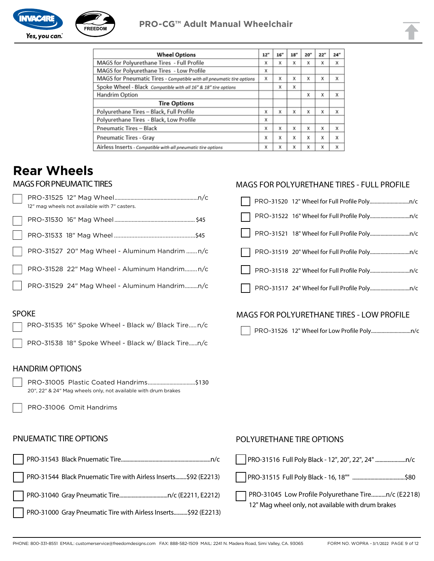



| <b>Wheel Options</b>                                                  | 12" | 16'' | 18" | 20" | 22" | 24" |
|-----------------------------------------------------------------------|-----|------|-----|-----|-----|-----|
| MAGS for Polyurethane Tires - Full Profile                            | x   | x    | X   | х   | x   | X   |
| MAGS for Polyurethane Tires - Low Profile                             | x   |      |     |     |     |     |
| MAGS for Pneumatic Tires - Compatible with all pneumatic tire options | x   | x    | x   | x   | X   | x   |
| Spoke Wheel - Black Compatible with all 16" & 18" tire options        |     | x    | x   |     |     |     |
| Handrim Option                                                        |     |      |     | x   | x   | X   |
| <b>Tire Options</b>                                                   |     |      |     |     |     |     |
| Polyurethane Tires - Black, Full Profile                              | x   | x    | x   | X   | X   | X   |
| Polyurethane Tires - Black, Low Profile                               | x   |      |     |     |     |     |
| <b>Pneumatic Tires - Black</b>                                        | x   | X    | x   | x   | X   | X   |
| <b>Pneumatic Tires - Gray</b>                                         | x   | X    | x   | X   | X   | X   |
| Airless Inserts - Compatible with all pneumatic tire options          | x   | X    | X   | X   | X   | X   |

MAGS FOR POLYURETHANE TIRES - FULL PROFILE

## **Rear Wheels**

#### MAGS FOR PNEUMATIC TIRES

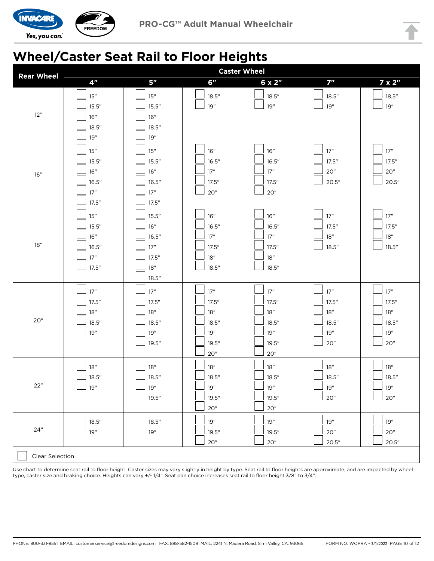

## **Wheel/Caster Seat Rail to Floor Heights**

| <b>Rear Wheel</b> | <b>Caster Wheel</b> |                     |                         |                     |                         |                     |
|-------------------|---------------------|---------------------|-------------------------|---------------------|-------------------------|---------------------|
|                   | 4 <sup>n</sup>      | 5 <sup>n</sup>      | 6''                     | $6 \times 2$ "      | 7 <sup>''</sup>         | $7 \times 2$ "      |
|                   | 15"                 | 15"                 | 18.5''                  | 18.5''              | 18.5''                  | 18.5''              |
|                   | 15.5''              | 15.5''              | 19"                     | $19"$               | $19"$                   | $19''$              |
| 12"               | 16"                 | 16"                 |                         |                     |                         |                     |
|                   | 18.5''              | 18.5''              |                         |                     |                         |                     |
|                   | 19"                 | 19"                 |                         |                     |                         |                     |
|                   | 15"                 | $15$                | 16"                     | 16"                 | $17"$                   | $17"$               |
|                   | 15.5''              | 15.5''              | 16.5''                  | 16.5''              | 17.5''                  | 17.5''              |
|                   | 16"                 | $16"$               | 17"                     | 17"                 | 20"                     | 20"                 |
| 16"               | 16.5''              | 16.5''              | 17.5''                  | 17.5''              | 20.5"                   | 20.5"               |
|                   | 17"                 | 17"                 | 20"                     | $20$                |                         |                     |
|                   | 17.5''              | 17.5''              |                         |                     |                         |                     |
|                   | 15"                 | 15.5''              | 16"                     | 16"                 | 17"                     | 17"                 |
|                   | 15.5''              | 16"                 | 16.5''                  | 16.5''              | 17.5''                  | 17.5''              |
|                   | 16"                 | 16.5''              | 17"                     | 17"                 | 18"                     | $18$                |
| 18"               | 16.5''              | 17"                 | 17.5''                  | 17.5''              | 18.5''                  | 18.5''              |
|                   | 17"                 | 17.5''              | 18"                     | 18"                 |                         |                     |
|                   | 17.5''              | 18"                 | 18.5''                  | 18.5''              |                         |                     |
|                   |                     | 18.5''              |                         |                     |                         |                     |
|                   | 17"                 | 17"                 | 17"                     | 17"                 | 17"                     | 17"                 |
|                   | 17.5''              | 17.5''              | 17.5''                  | 17.5''              | 17.5''                  | 17.5''              |
|                   | 18"                 | 18"                 | 18"                     | 18"                 | 18"                     | 18"                 |
| 20"               | 18.5''              | 18.5''              | 18.5''                  | 18.5''              | 18.5''                  | 18.5''              |
|                   | 19"                 | 19"                 | 19"                     | 19"                 | 19"                     | $19"$               |
|                   |                     | 19.5''              | 19.5''                  | 19.5''              | 20"                     | 20"                 |
|                   |                     |                     | 20"                     | $20$                |                         |                     |
|                   | 18"                 | $18^{\prime\prime}$ | $18$ math{\prime\prime} | 18"                 | $18$ math{\prime\prime} | $18^{\prime\prime}$ |
|                   | 18.5''              | 18.5''              | 18.5''                  | 18.5''              | 18.5''                  | 18.5''              |
| 22"               | 19"                 | $19"$               | $19"$                   | $19"$               | $19"$                   | $19"$               |
|                   |                     | 19.5''              | 19.5''                  | 19.5"               | 20 <sup>''</sup>        | 20"                 |
|                   |                     |                     | $20$                    | $20^{\prime\prime}$ |                         |                     |
|                   | 18.5''              | 18.5''              | 19"                     | $19"$               | $19"$                   | $19"$               |
| 24"               | 19"                 | 19''                | 19.5''                  | 19.5"               | 20"                     | 20"                 |
|                   |                     |                     | 20"                     | $20$                | 20.5"                   | 20.5"               |
| Clear Selection   |                     |                     |                         |                     |                         |                     |
|                   |                     |                     |                         |                     |                         |                     |

Use chart to determine seat rail to floor height. Caster sizes may vary slightly in height by type. Seat rail to floor heights are approximate, and are impacted by wheel type, caster size and braking choice. Heights can vary +/- 1/4". Seat pan choice increases seat rail to floor height 3/8" to 3/4".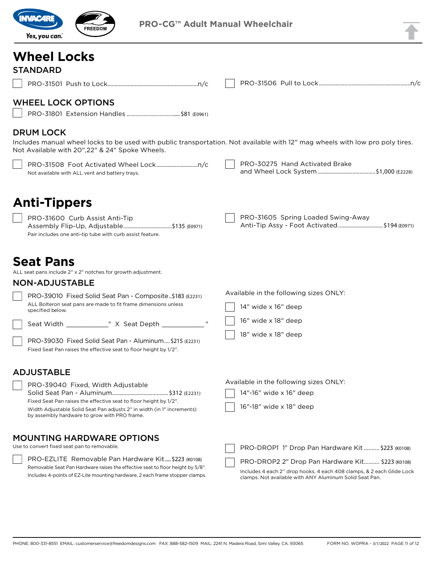

## **Wheel Locks**

PRO-31501 Push to Lock...............................................................n/c PRO-31506 Pull to Lock................................................................n/c

PRO-31605 Spring Loaded Swing-Away

Available in the following sizes ONLY:

Anti-Tip Assy - Foot Activated ...............................\$194 (E0971)

#### WHEEL LOCK OPTIONS

PRO-31801 Extension Handles ................................... \$81 (E0961)

#### DRUM LOCK

Includes manual wheel locks to be used with public transportation. Not available with 12" mag wheels with low pro poly tires. Not Available with 20",22" & 24" Spoke Wheels.

|                                                | PRO-30275 Hand Activated Brake |
|------------------------------------------------|--------------------------------|
| Not available with ALL vent and battery travs. |                                |

## **Anti-Tippers**

PRO-31600 Curb Assist Anti-Tip Assembly Flip-Up, Adjustable..................................\$135 (E0971) Pair includes one anti-tip tube with curb assist feature.

Includes 4-points of EZ-Lite mounting hardware, 2 each frame stopper clamps.

## **Seat Pans**

ALL seat pans include 2" x 2" notches for growth adjustment.

#### NON-ADJUSTABLE

| PRO-39010 Fixed Solid Seat Pan - Composite \$183 (E2231)                           | Available in the following sizes ONLY: |
|------------------------------------------------------------------------------------|----------------------------------------|
| ALL Bolteron seat pans are made to fit frame dimensions unless<br>specified below. | 14" wide x 16" deep                    |
| Seat Width<br>" X Seat Depth                                                       | 16" wide x 18" deep                    |
| PRO-39030 Fixed Solid Seat Pan - Aluminum \$215 (E2231)                            | 18" wide x 18" deep                    |
| Fixed Seat Pan raises the effective seat to floor height by 1/2".                  |                                        |

#### ADJUSTABLE

| PRO-39040 Fixed, Width Adjustable                                                                                      | Available in the following sizes ONET.            |
|------------------------------------------------------------------------------------------------------------------------|---------------------------------------------------|
|                                                                                                                        | 14"-16" wide x 16" deep                           |
| Fixed Seat Pan raises the effective seat to floor height by 1/2".                                                      |                                                   |
| Width Adjustable Solid Seat Pan adjusts 2" in width (in 1" increments)<br>by assembly hardware to grow with PRO frame. | 16"-18" wide x 18" deep                           |
| <b>MOUNTING HARDWARE OPTIONS</b>                                                                                       |                                                   |
| Use to convert fixed seat pan to removable.                                                                            | PRO-DROP1 1" Drop Pan Hardware Kit  \$223 (K0108) |
| PRO-EZLITE Removable Pan Hardware Kit \$223 (K0108)                                                                    | PRO-DROP2 2" Drop Pan Hardware Kit \$223 (K0108)  |
| Removable Seat Pan Hardware raises the effective seat to floor height by 5/8".                                         |                                                   |

Includes 4 each 2'' drop hooks, 4 each 408 clamps, & 2 each Glide Lock clamps. Not available with ANY Aluminum Solid Seat Pan.